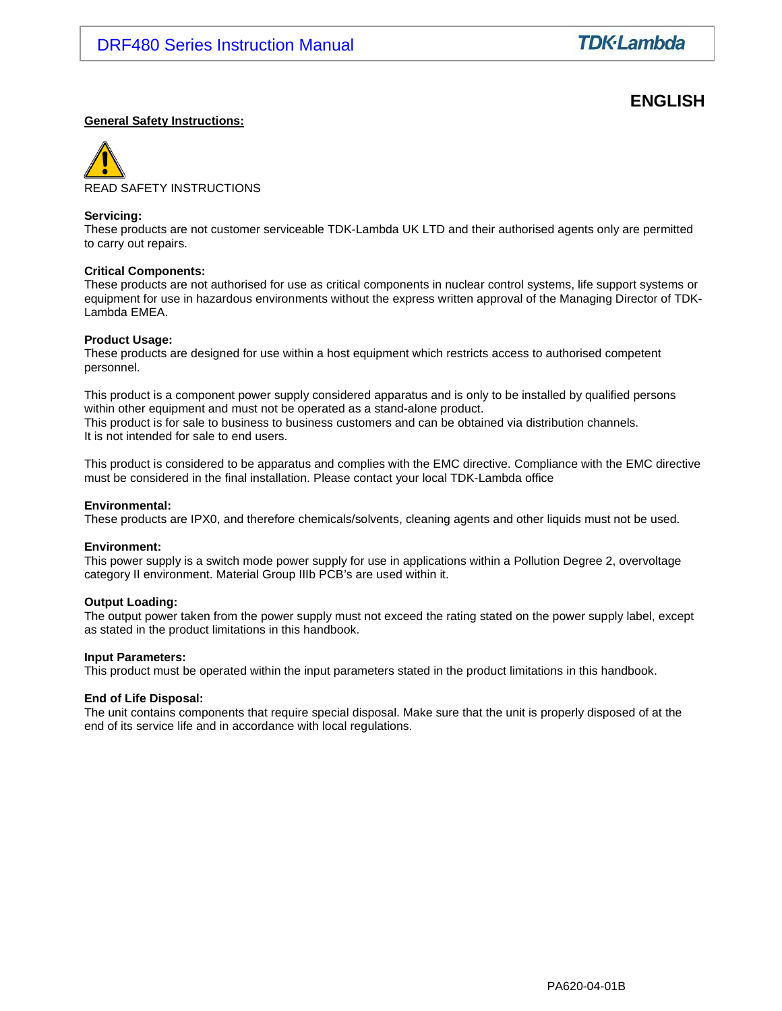# **ENGLISH**

#### **General Safety Instructions:**



#### **Servicing:**

These products are not customer serviceable TDK-Lambda UK LTD and their authorised agents only are permitted to carry out repairs.

#### **Critical Components:**

These products are not authorised for use as critical components in nuclear control systems, life support systems or equipment for use in hazardous environments without the express written approval of the Managing Director of TDK-Lambda EMEA.

#### **Product Usage:**

These products are designed for use within a host equipment which restricts access to authorised competent personnel.

This product is a component power supply considered apparatus and is only to be installed by qualified persons within other equipment and must not be operated as a stand-alone product. This product is for sale to business to business customers and can be obtained via distribution channels. It is not intended for sale to end users.

This product is considered to be apparatus and complies with the EMC directive. Compliance with the EMC directive must be considered in the final installation. Please contact your local TDK-Lambda office

#### **Environmental:**

These products are IPX0, and therefore chemicals/solvents, cleaning agents and other liquids must not be used.

#### **Environment:**

This power supply is a switch mode power supply for use in applications within a Pollution Degree 2, overvoltage category II environment. Material Group IIIb PCB's are used within it.

#### **Output Loading:**

The output power taken from the power supply must not exceed the rating stated on the power supply label, except as stated in the product limitations in this handbook.

#### **Input Parameters:**

This product must be operated within the input parameters stated in the product limitations in this handbook.

#### **End of Life Disposal:**

The unit contains components that require special disposal. Make sure that the unit is properly disposed of at the end of its service life and in accordance with local regulations.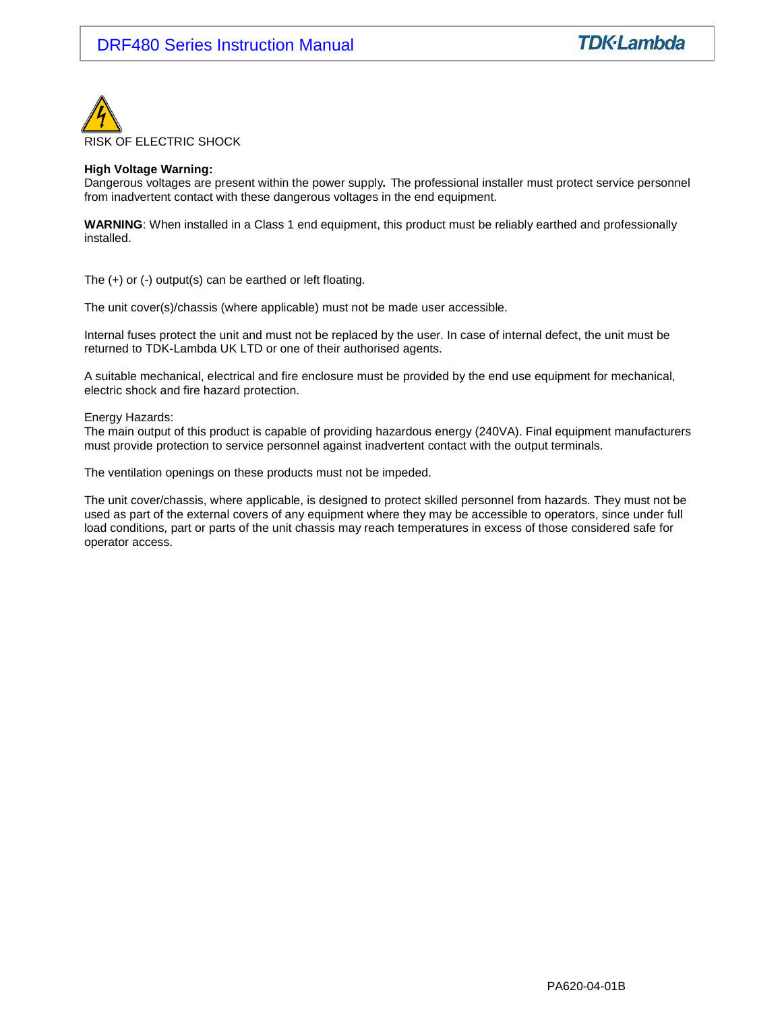

#### **High Voltage Warning:**

Dangerous voltages are present within the power supply**.** The professional installer must protect service personnel from inadvertent contact with these dangerous voltages in the end equipment.

**WARNING**: When installed in a Class 1 end equipment, this product must be reliably earthed and professionally installed.

The (+) or (-) output(s) can be earthed or left floating.

The unit cover(s)/chassis (where applicable) must not be made user accessible.

Internal fuses protect the unit and must not be replaced by the user. In case of internal defect, the unit must be returned to TDK-Lambda UK LTD or one of their authorised agents.

A suitable mechanical, electrical and fire enclosure must be provided by the end use equipment for mechanical, electric shock and fire hazard protection.

Energy Hazards:

The main output of this product is capable of providing hazardous energy (240VA). Final equipment manufacturers must provide protection to service personnel against inadvertent contact with the output terminals.

The ventilation openings on these products must not be impeded.

The unit cover/chassis, where applicable, is designed to protect skilled personnel from hazards. They must not be used as part of the external covers of any equipment where they may be accessible to operators, since under full load conditions, part or parts of the unit chassis may reach temperatures in excess of those considered safe for operator access.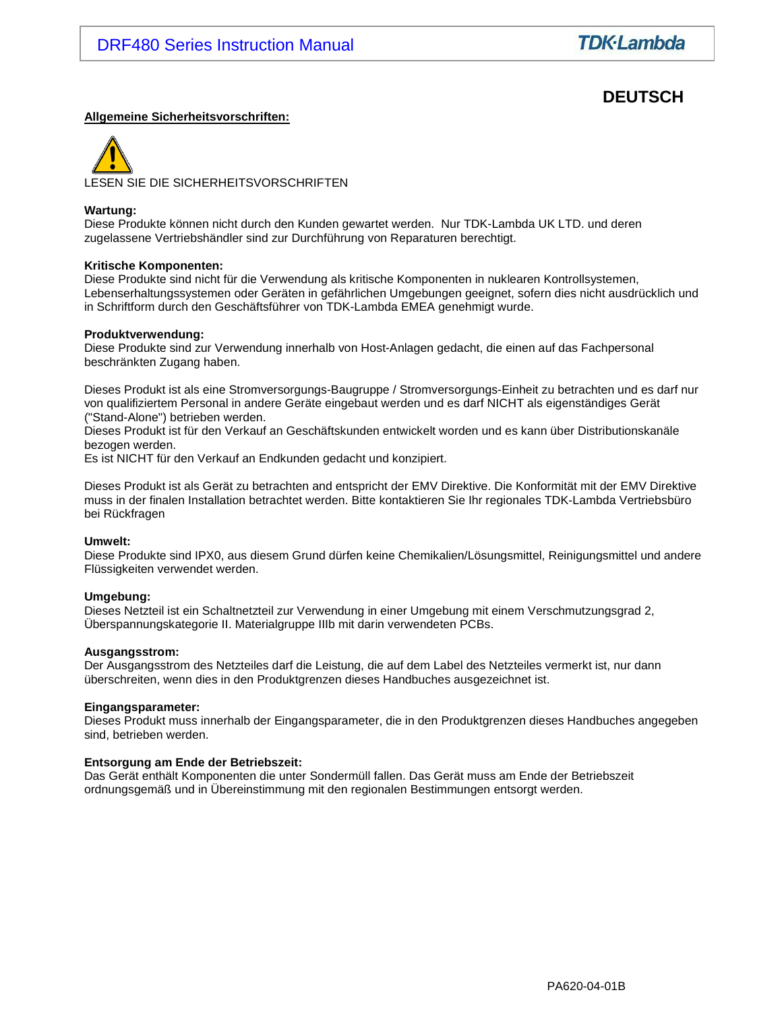# **DEUTSCH**

#### **Allgemeine Sicherheitsvorschriften:**

LESEN SIE DIE SICHERHEITSVORSCHRIFTEN

#### **Wartung:**

Diese Produkte können nicht durch den Kunden gewartet werden. Nur TDK-Lambda UK LTD. und deren zugelassene Vertriebshändler sind zur Durchführung von Reparaturen berechtigt.

#### **Kritische Komponenten:**

Diese Produkte sind nicht für die Verwendung als kritische Komponenten in nuklearen Kontrollsystemen, Lebenserhaltungssystemen oder Geräten in gefährlichen Umgebungen geeignet, sofern dies nicht ausdrücklich und in Schriftform durch den Geschäftsführer von TDK-Lambda EMEA genehmigt wurde.

#### **Produktverwendung:**

Diese Produkte sind zur Verwendung innerhalb von Host-Anlagen gedacht, die einen auf das Fachpersonal beschränkten Zugang haben.

Dieses Produkt ist als eine Stromversorgungs-Baugruppe / Stromversorgungs-Einheit zu betrachten und es darf nur von qualifiziertem Personal in andere Geräte eingebaut werden und es darf NICHT als eigenständiges Gerät ("Stand-Alone") betrieben werden.

Dieses Produkt ist für den Verkauf an Geschäftskunden entwickelt worden und es kann über Distributionskanäle bezogen werden.

Es ist NICHT für den Verkauf an Endkunden gedacht und konzipiert.

Dieses Produkt ist als Gerät zu betrachten and entspricht der EMV Direktive. Die Konformität mit der EMV Direktive muss in der finalen Installation betrachtet werden. Bitte kontaktieren Sie Ihr regionales TDK-Lambda Vertriebsbüro bei Rückfragen

#### **Umwelt:**

Diese Produkte sind IPX0, aus diesem Grund dürfen keine Chemikalien/Lösungsmittel, Reinigungsmittel und andere Flüssigkeiten verwendet werden.

#### **Umgebung:**

Dieses Netzteil ist ein Schaltnetzteil zur Verwendung in einer Umgebung mit einem Verschmutzungsgrad 2, Überspannungskategorie II. Materialgruppe IIIb mit darin verwendeten PCBs.

#### **Ausgangsstrom:**

Der Ausgangsstrom des Netzteiles darf die Leistung, die auf dem Label des Netzteiles vermerkt ist, nur dann überschreiten, wenn dies in den Produktgrenzen dieses Handbuches ausgezeichnet ist.

#### **Eingangsparameter:**

Dieses Produkt muss innerhalb der Eingangsparameter, die in den Produktgrenzen dieses Handbuches angegeben sind, betrieben werden.

#### **Entsorgung am Ende der Betriebszeit:**

Das Gerät enthält Komponenten die unter Sondermüll fallen. Das Gerät muss am Ende der Betriebszeit ordnungsgemäß und in Übereinstimmung mit den regionalen Bestimmungen entsorgt werden.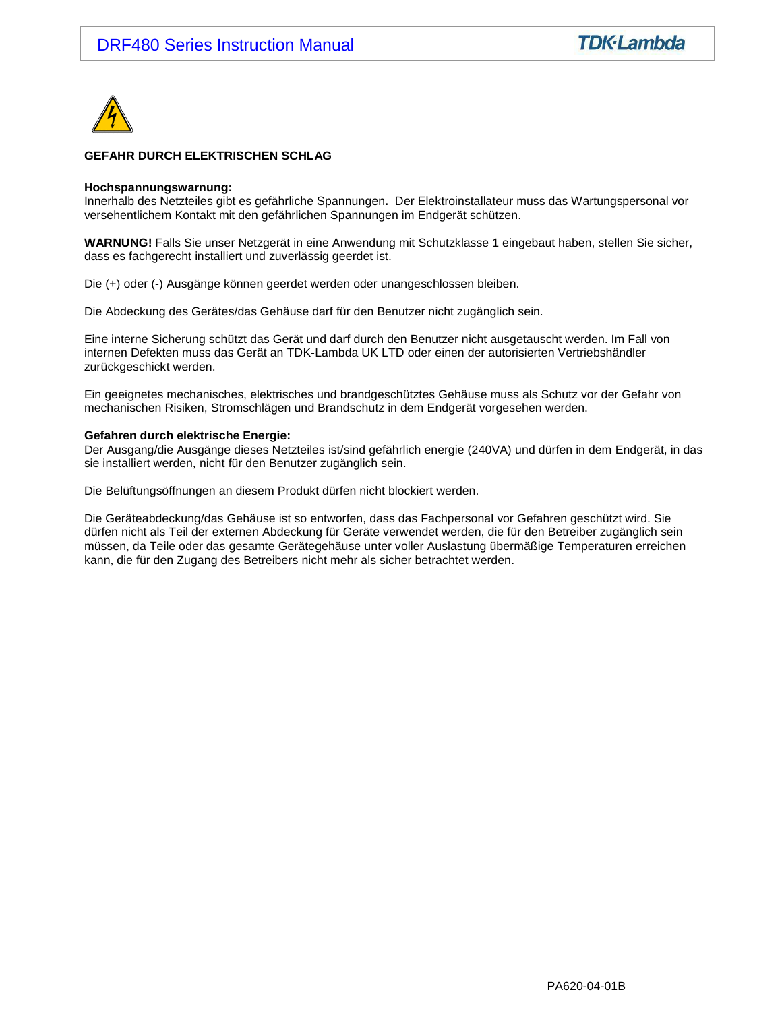

#### **GEFAHR DURCH ELEKTRISCHEN SCHLAG**

#### **Hochspannungswarnung:**

Innerhalb des Netzteiles gibt es gefährliche Spannungen**.** Der Elektroinstallateur muss das Wartungspersonal vor versehentlichem Kontakt mit den gefährlichen Spannungen im Endgerät schützen.

**WARNUNG!** Falls Sie unser Netzgerät in eine Anwendung mit Schutzklasse 1 eingebaut haben, stellen Sie sicher, dass es fachgerecht installiert und zuverlässig geerdet ist.

Die (+) oder (-) Ausgänge können geerdet werden oder unangeschlossen bleiben.

Die Abdeckung des Gerätes/das Gehäuse darf für den Benutzer nicht zugänglich sein.

Eine interne Sicherung schützt das Gerät und darf durch den Benutzer nicht ausgetauscht werden. Im Fall von internen Defekten muss das Gerät an TDK-Lambda UK LTD oder einen der autorisierten Vertriebshändler zurückgeschickt werden.

Ein geeignetes mechanisches, elektrisches und brandgeschütztes Gehäuse muss als Schutz vor der Gefahr von mechanischen Risiken, Stromschlägen und Brandschutz in dem Endgerät vorgesehen werden.

#### **Gefahren durch elektrische Energie:**

Der Ausgang/die Ausgänge dieses Netzteiles ist/sind gefährlich energie (240VA) und dürfen in dem Endgerät, in das sie installiert werden, nicht für den Benutzer zugänglich sein.

Die Belüftungsöffnungen an diesem Produkt dürfen nicht blockiert werden.

Die Geräteabdeckung/das Gehäuse ist so entworfen, dass das Fachpersonal vor Gefahren geschützt wird. Sie dürfen nicht als Teil der externen Abdeckung für Geräte verwendet werden, die für den Betreiber zugänglich sein müssen, da Teile oder das gesamte Gerätegehäuse unter voller Auslastung übermäßige Temperaturen erreichen kann, die für den Zugang des Betreibers nicht mehr als sicher betrachtet werden.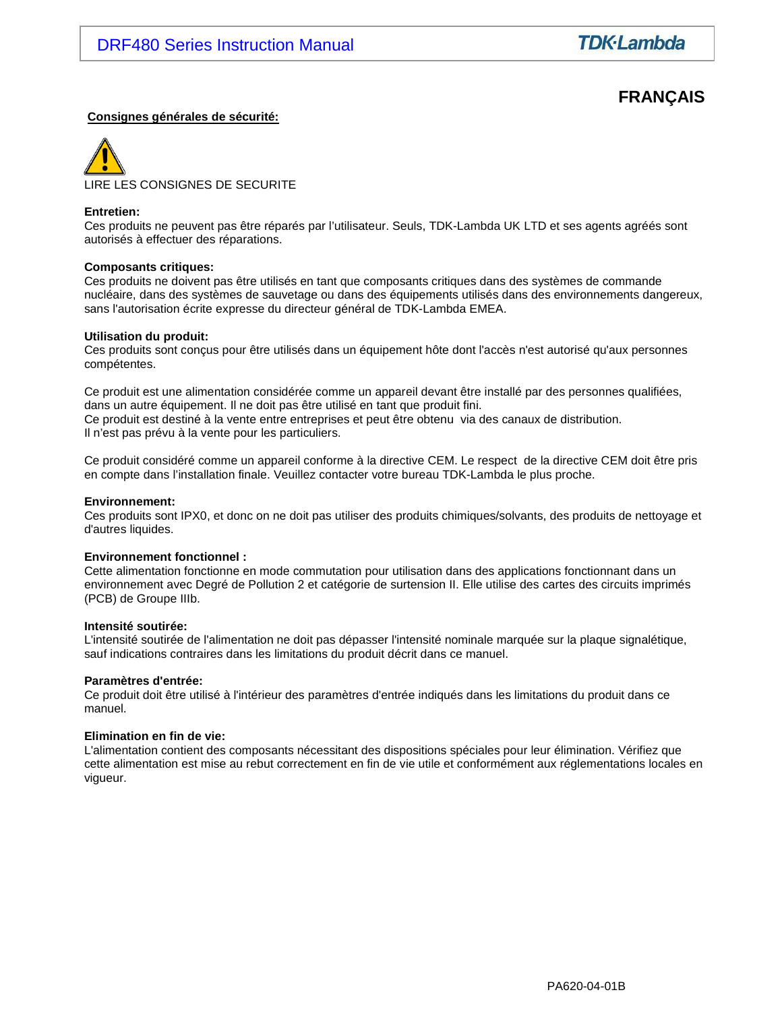# **FRANÇAIS**

#### **Consignes générales de sécurité:**



#### **Entretien:**

Ces produits ne peuvent pas être réparés par l'utilisateur. Seuls, TDK-Lambda UK LTD et ses agents agréés sont autorisés à effectuer des réparations.

#### **Composants critiques:**

Ces produits ne doivent pas être utilisés en tant que composants critiques dans des systèmes de commande nucléaire, dans des systèmes de sauvetage ou dans des équipements utilisés dans des environnements dangereux, sans l'autorisation écrite expresse du directeur général de TDK-Lambda EMEA.

#### **Utilisation du produit:**

Ces produits sont conçus pour être utilisés dans un équipement hôte dont l'accès n'est autorisé qu'aux personnes compétentes.

Ce produit est une alimentation considérée comme un appareil devant être installé par des personnes qualifiées, dans un autre équipement. Il ne doit pas être utilisé en tant que produit fini. Ce produit est destiné à la vente entre entreprises et peut être obtenu via des canaux de distribution. Il n'est pas prévu à la vente pour les particuliers.

Ce produit considéré comme un appareil conforme à la directive CEM. Le respect de la directive CEM doit être pris en compte dans l'installation finale. Veuillez contacter votre bureau TDK-Lambda le plus proche.

#### **Environnement:**

Ces produits sont IPX0, et donc on ne doit pas utiliser des produits chimiques/solvants, des produits de nettoyage et d'autres liquides.

#### **Environnement fonctionnel :**

Cette alimentation fonctionne en mode commutation pour utilisation dans des applications fonctionnant dans un environnement avec Degré de Pollution 2 et catégorie de surtension II. Elle utilise des cartes des circuits imprimés (PCB) de Groupe IIIb.

#### **Intensité soutirée:**

L'intensité soutirée de l'alimentation ne doit pas dépasser l'intensité nominale marquée sur la plaque signalétique, sauf indications contraires dans les limitations du produit décrit dans ce manuel.

#### **Paramètres d'entrée:**

Ce produit doit être utilisé à l'intérieur des paramètres d'entrée indiqués dans les limitations du produit dans ce manuel.

#### **Elimination en fin de vie:**

L'alimentation contient des composants nécessitant des dispositions spéciales pour leur élimination. Vérifiez que cette alimentation est mise au rebut correctement en fin de vie utile et conformément aux réglementations locales en vigueur.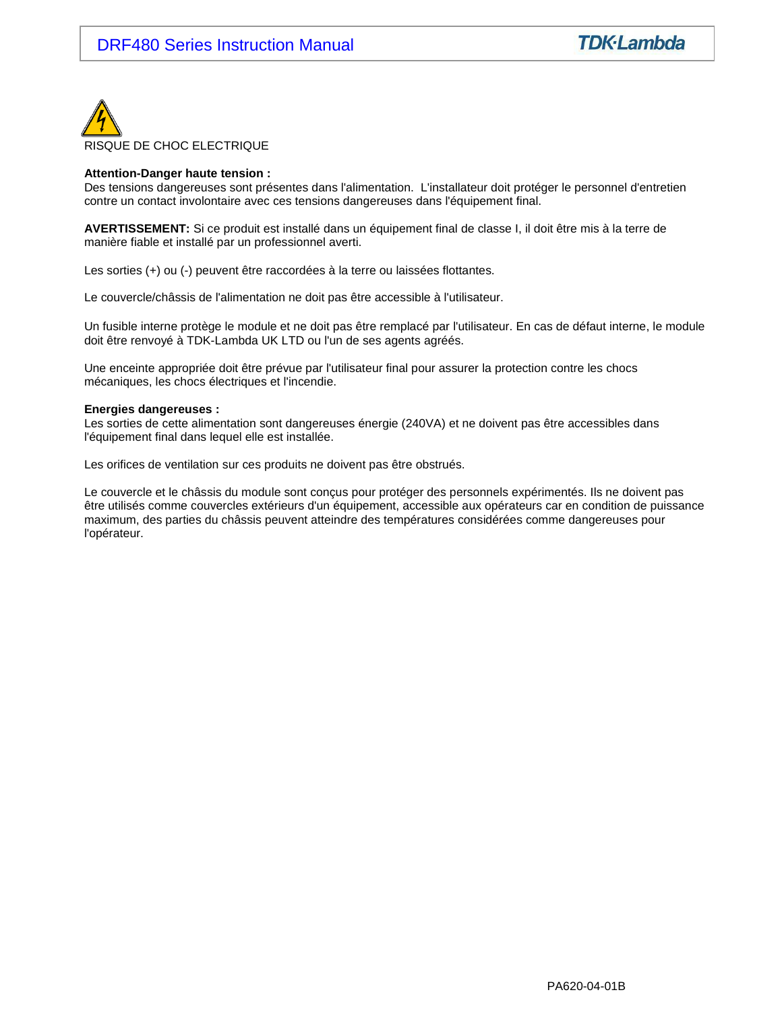

#### **Attention-Danger haute tension :**

Des tensions dangereuses sont présentes dans l'alimentation. L'installateur doit protéger le personnel d'entretien contre un contact involontaire avec ces tensions dangereuses dans l'équipement final.

**AVERTISSEMENT:** Si ce produit est installé dans un équipement final de classe I, il doit être mis à la terre de manière fiable et installé par un professionnel averti.

Les sorties (+) ou (-) peuvent être raccordées à la terre ou laissées flottantes.

Le couvercle/châssis de l'alimentation ne doit pas être accessible à l'utilisateur.

Un fusible interne protège le module et ne doit pas être remplacé par l'utilisateur. En cas de défaut interne, le module doit être renvoyé à TDK-Lambda UK LTD ou l'un de ses agents agréés.

Une enceinte appropriée doit être prévue par l'utilisateur final pour assurer la protection contre les chocs mécaniques, les chocs électriques et l'incendie.

#### **Energies dangereuses :**

Les sorties de cette alimentation sont dangereuses énergie (240VA) et ne doivent pas être accessibles dans l'équipement final dans lequel elle est installée.

Les orifices de ventilation sur ces produits ne doivent pas être obstrués.

Le couvercle et le châssis du module sont conçus pour protéger des personnels expérimentés. Ils ne doivent pas être utilisés comme couvercles extérieurs d'un équipement, accessible aux opérateurs car en condition de puissance maximum, des parties du châssis peuvent atteindre des températures considérées comme dangereuses pour l'opérateur.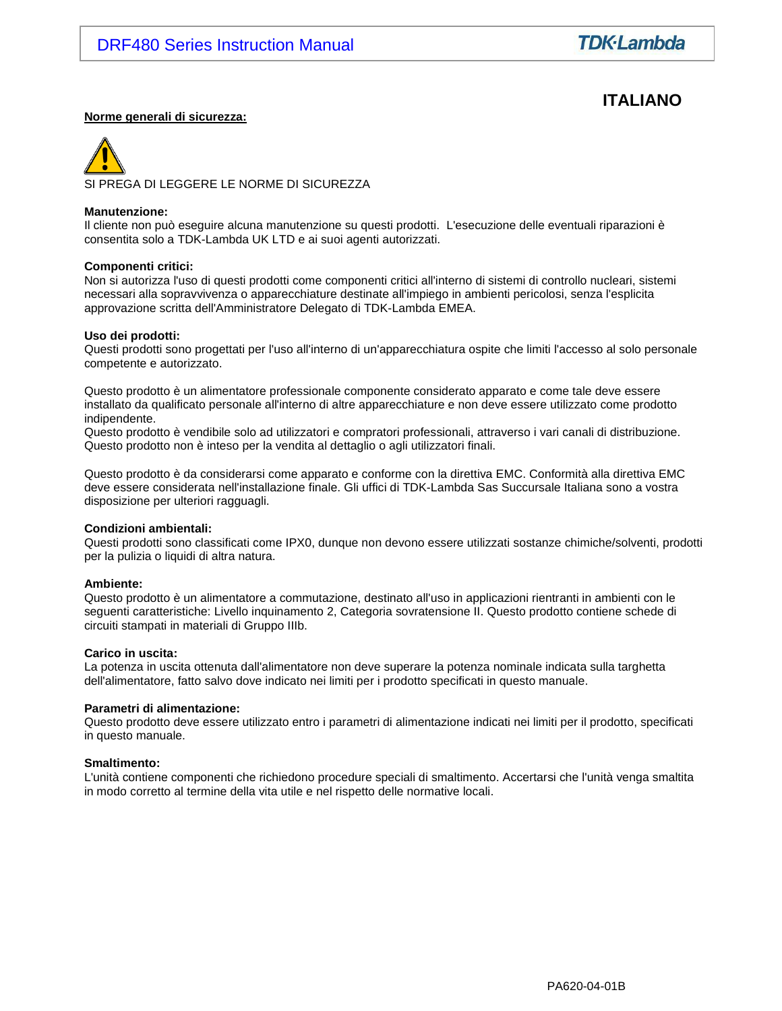# **ITALIANO**

#### **Norme generali di sicurezza:**

SI PREGA DI LEGGERE LE NORME DI SICUREZZA

#### **Manutenzione:**

Il cliente non può eseguire alcuna manutenzione su questi prodotti. L'esecuzione delle eventuali riparazioni è consentita solo a TDK-Lambda UK LTD e ai suoi agenti autorizzati.

#### **Componenti critici:**

Non si autorizza l'uso di questi prodotti come componenti critici all'interno di sistemi di controllo nucleari, sistemi necessari alla sopravvivenza o apparecchiature destinate all'impiego in ambienti pericolosi, senza l'esplicita approvazione scritta dell'Amministratore Delegato di TDK-Lambda EMEA.

#### **Uso dei prodotti:**

Questi prodotti sono progettati per l'uso all'interno di un'apparecchiatura ospite che limiti l'accesso al solo personale competente e autorizzato.

Questo prodotto è un alimentatore professionale componente considerato apparato e come tale deve essere installato da qualificato personale all'interno di altre apparecchiature e non deve essere utilizzato come prodotto indipendente.

Questo prodotto è vendibile solo ad utilizzatori e compratori professionali, attraverso i vari canali di distribuzione. Questo prodotto non è inteso per la vendita al dettaglio o agli utilizzatori finali.

Questo prodotto è da considerarsi come apparato e conforme con la direttiva EMC. Conformità alla direttiva EMC deve essere considerata nell'installazione finale. Gli uffici di TDK-Lambda Sas Succursale Italiana sono a vostra disposizione per ulteriori ragguagli.

#### **Condizioni ambientali:**

Questi prodotti sono classificati come IPX0, dunque non devono essere utilizzati sostanze chimiche/solventi, prodotti per la pulizia o liquidi di altra natura.

#### **Ambiente:**

Questo prodotto è un alimentatore a commutazione, destinato all'uso in applicazioni rientranti in ambienti con le seguenti caratteristiche: Livello inquinamento 2, Categoria sovratensione II. Questo prodotto contiene schede di circuiti stampati in materiali di Gruppo IIIb.

#### **Carico in uscita:**

La potenza in uscita ottenuta dall'alimentatore non deve superare la potenza nominale indicata sulla targhetta dell'alimentatore, fatto salvo dove indicato nei limiti per i prodotto specificati in questo manuale.

#### **Parametri di alimentazione:**

Questo prodotto deve essere utilizzato entro i parametri di alimentazione indicati nei limiti per il prodotto, specificati in questo manuale.

#### **Smaltimento:**

L'unità contiene componenti che richiedono procedure speciali di smaltimento. Accertarsi che l'unità venga smaltita in modo corretto al termine della vita utile e nel rispetto delle normative locali.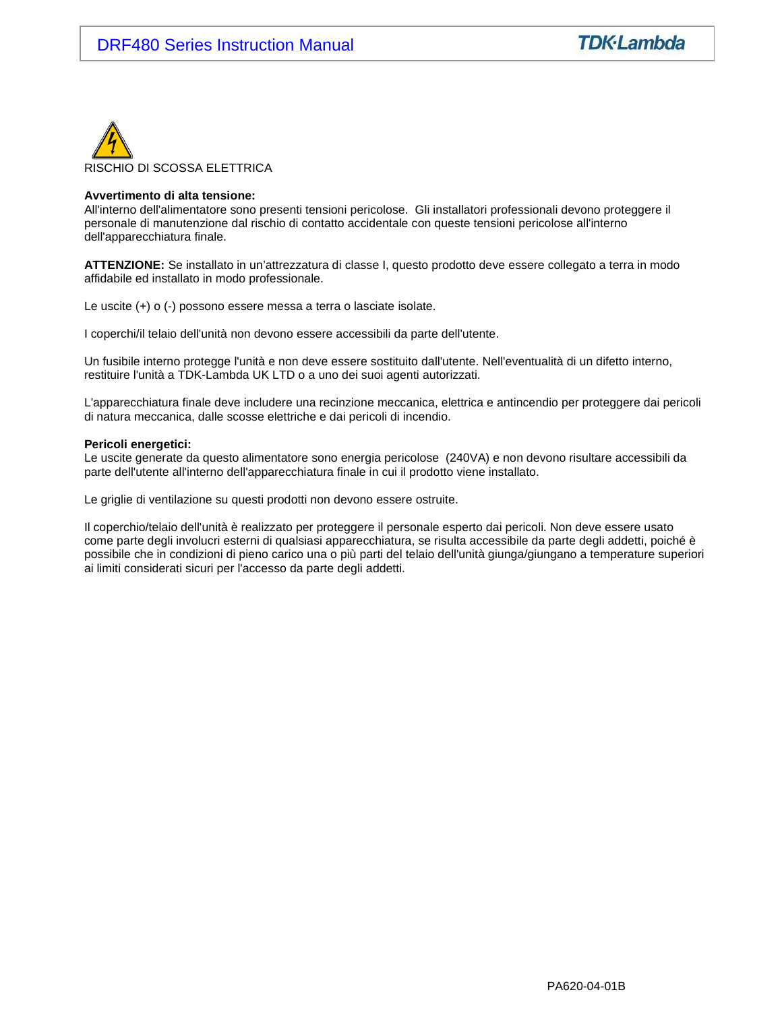

#### **Avvertimento di alta tensione:**

All'interno dell'alimentatore sono presenti tensioni pericolose. Gli installatori professionali devono proteggere il personale di manutenzione dal rischio di contatto accidentale con queste tensioni pericolose all'interno dell'apparecchiatura finale.

**ATTENZIONE:** Se installato in un'attrezzatura di classe I, questo prodotto deve essere collegato a terra in modo affidabile ed installato in modo professionale.

Le uscite (+) o (-) possono essere messa a terra o lasciate isolate.

I coperchi/il telaio dell'unità non devono essere accessibili da parte dell'utente.

Un fusibile interno protegge l'unità e non deve essere sostituito dall'utente. Nell'eventualità di un difetto interno, restituire l'unità a TDK-Lambda UK LTD o a uno dei suoi agenti autorizzati.

L'apparecchiatura finale deve includere una recinzione meccanica, elettrica e antincendio per proteggere dai pericoli di natura meccanica, dalle scosse elettriche e dai pericoli di incendio.

#### **Pericoli energetici:**

Le uscite generate da questo alimentatore sono energia pericolose (240VA) e non devono risultare accessibili da parte dell'utente all'interno dell'apparecchiatura finale in cui il prodotto viene installato.

Le griglie di ventilazione su questi prodotti non devono essere ostruite.

Il coperchio/telaio dell'unità è realizzato per proteggere il personale esperto dai pericoli. Non deve essere usato come parte degli involucri esterni di qualsiasi apparecchiatura, se risulta accessibile da parte degli addetti, poiché è possibile che in condizioni di pieno carico una o più parti del telaio dell'unità giunga/giungano a temperature superiori ai limiti considerati sicuri per l'accesso da parte degli addetti.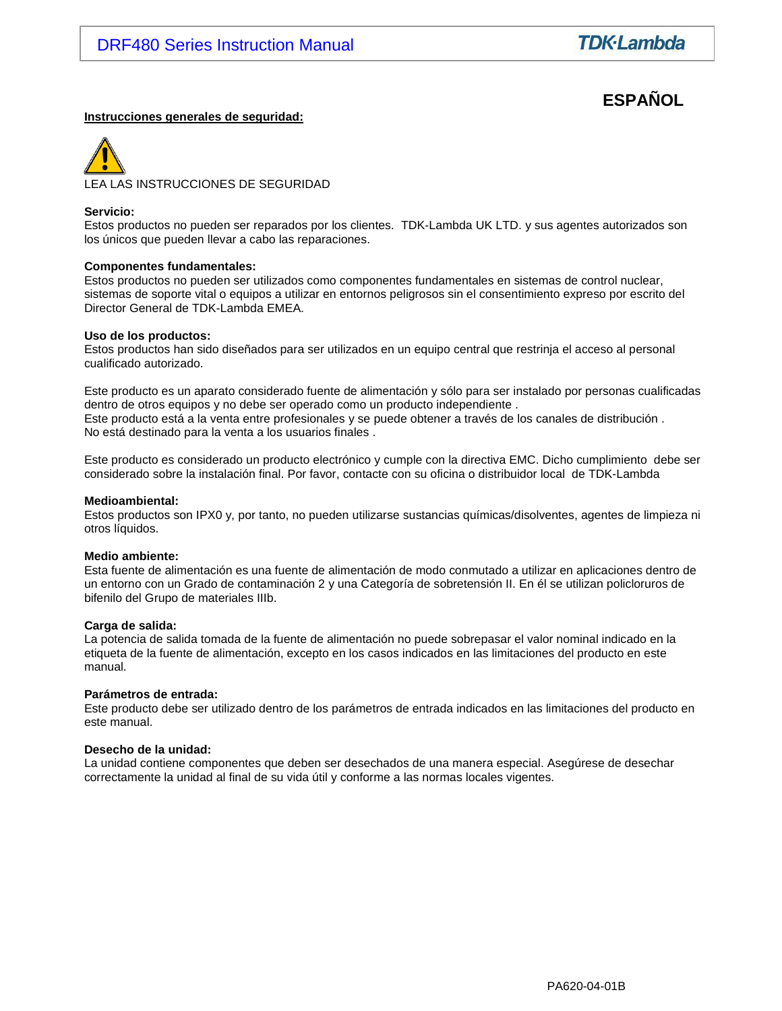# **ESPAÑOL**

#### **Instrucciones generales de seguridad:**



#### **Servicio:**

Estos productos no pueden ser reparados por los clientes. TDK-Lambda UK LTD. y sus agentes autorizados son los únicos que pueden llevar a cabo las reparaciones.

#### **Componentes fundamentales:**

Estos productos no pueden ser utilizados como componentes fundamentales en sistemas de control nuclear, sistemas de soporte vital o equipos a utilizar en entornos peligrosos sin el consentimiento expreso por escrito del Director General de TDK-Lambda EMEA.

#### **Uso de los productos:**

Estos productos han sido diseñados para ser utilizados en un equipo central que restrinja el acceso al personal cualificado autorizado.

Este producto es un aparato considerado fuente de alimentación y sólo para ser instalado por personas cualificadas dentro de otros equipos y no debe ser operado como un producto independiente . Este producto está a la venta entre profesionales y se puede obtener a través de los canales de distribución . No está destinado para la venta a los usuarios finales .

Este producto es considerado un producto electrónico y cumple con la directiva EMC. Dicho cumplimiento debe ser considerado sobre la instalación final. Por favor, contacte con su oficina o distribuidor local de TDK-Lambda

#### **Medioambiental:**

Estos productos son IPX0 y, por tanto, no pueden utilizarse sustancias químicas/disolventes, agentes de limpieza ni otros líquidos.

#### **Medio ambiente:**

Esta fuente de alimentación es una fuente de alimentación de modo conmutado a utilizar en aplicaciones dentro de un entorno con un Grado de contaminación 2 y una Categoría de sobretensión II. En él se utilizan policloruros de bifenilo del Grupo de materiales IIIb.

#### **Carga de salida:**

La potencia de salida tomada de la fuente de alimentación no puede sobrepasar el valor nominal indicado en la etiqueta de la fuente de alimentación, excepto en los casos indicados en las limitaciones del producto en este manual.

#### **Parámetros de entrada:**

Este producto debe ser utilizado dentro de los parámetros de entrada indicados en las limitaciones del producto en este manual.

#### **Desecho de la unidad:**

La unidad contiene componentes que deben ser desechados de una manera especial. Asegúrese de desechar correctamente la unidad al final de su vida útil y conforme a las normas locales vigentes.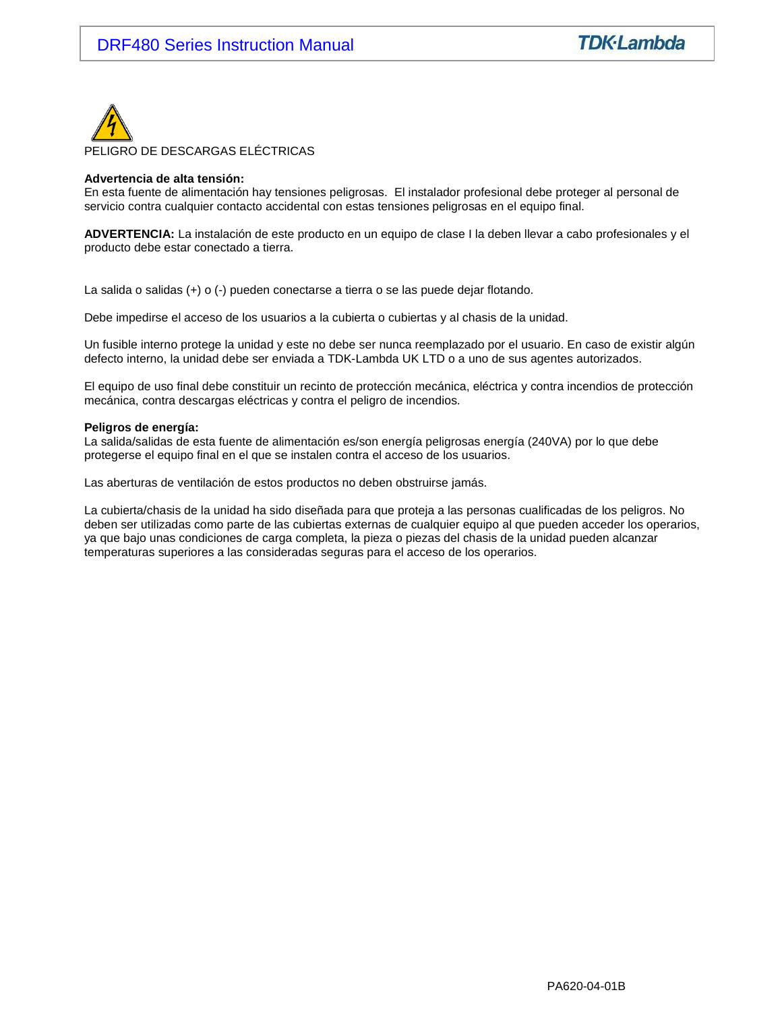

#### **Advertencia de alta tensión:**

En esta fuente de alimentación hay tensiones peligrosas. El instalador profesional debe proteger al personal de servicio contra cualquier contacto accidental con estas tensiones peligrosas en el equipo final.

**ADVERTENCIA:** La instalación de este producto en un equipo de clase I la deben llevar a cabo profesionales y el producto debe estar conectado a tierra.

La salida o salidas (+) o (-) pueden conectarse a tierra o se las puede dejar flotando.

Debe impedirse el acceso de los usuarios a la cubierta o cubiertas y al chasis de la unidad.

Un fusible interno protege la unidad y este no debe ser nunca reemplazado por el usuario. En caso de existir algún defecto interno, la unidad debe ser enviada a TDK-Lambda UK LTD o a uno de sus agentes autorizados.

El equipo de uso final debe constituir un recinto de protección mecánica, eléctrica y contra incendios de protección mecánica, contra descargas eléctricas y contra el peligro de incendios.

#### **Peligros de energía:**

La salida/salidas de esta fuente de alimentación es/son energía peligrosas energía (240VA) por lo que debe protegerse el equipo final en el que se instalen contra el acceso de los usuarios.

Las aberturas de ventilación de estos productos no deben obstruirse jamás.

La cubierta/chasis de la unidad ha sido diseñada para que proteja a las personas cualificadas de los peligros. No deben ser utilizadas como parte de las cubiertas externas de cualquier equipo al que pueden acceder los operarios, ya que bajo unas condiciones de carga completa, la pieza o piezas del chasis de la unidad pueden alcanzar temperaturas superiores a las consideradas seguras para el acceso de los operarios.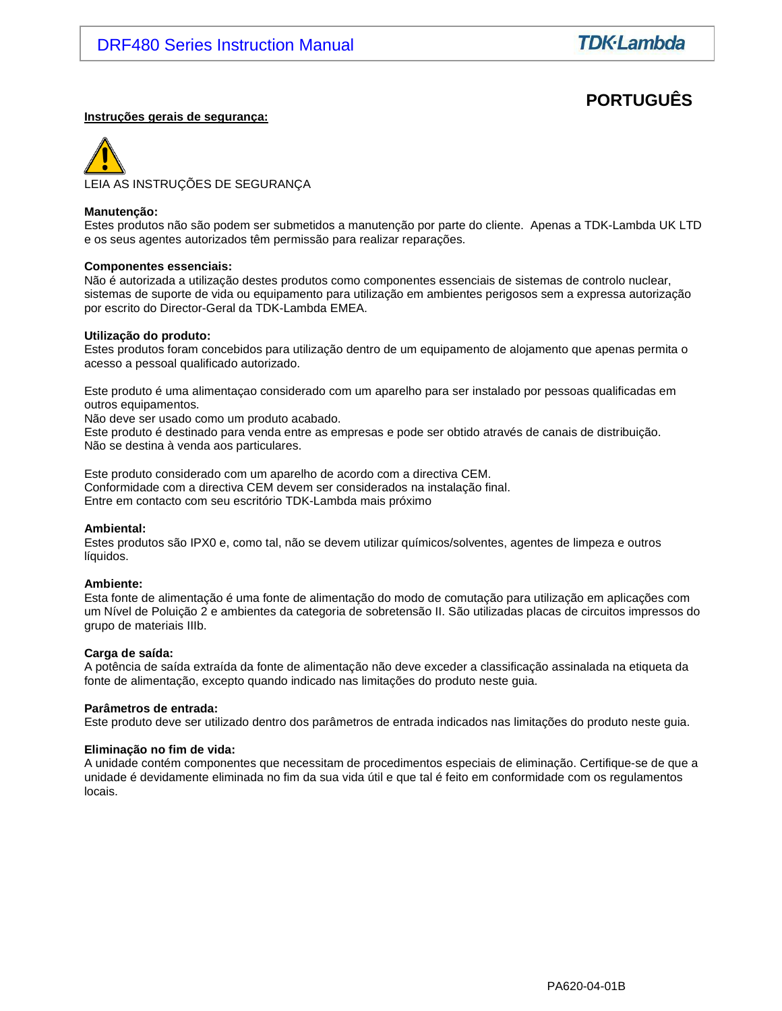# **PORTUGUÊS**

#### **Instruções gerais de segurança:**



#### **Manutenção:**

Estes produtos não são podem ser submetidos a manutenção por parte do cliente. Apenas a TDK-Lambda UK LTD e os seus agentes autorizados têm permissão para realizar reparações.

#### **Componentes essenciais:**

Não é autorizada a utilização destes produtos como componentes essenciais de sistemas de controlo nuclear, sistemas de suporte de vida ou equipamento para utilização em ambientes perigosos sem a expressa autorização por escrito do Director-Geral da TDK-Lambda EMEA.

#### **Utilização do produto:**

Estes produtos foram concebidos para utilização dentro de um equipamento de alojamento que apenas permita o acesso a pessoal qualificado autorizado.

Este produto é uma alimentaçao considerado com um aparelho para ser instalado por pessoas qualificadas em outros equipamentos.

Não deve ser usado como um produto acabado.

Este produto é destinado para venda entre as empresas e pode ser obtido através de canais de distribuição. Não se destina à venda aos particulares.

Este produto considerado com um aparelho de acordo com a directiva CEM. Conformidade com a directiva CEM devem ser considerados na instalação final. Entre em contacto com seu escritório TDK-Lambda mais próximo

#### **Ambiental:**

Estes produtos são IPX0 e, como tal, não se devem utilizar químicos/solventes, agentes de limpeza e outros líquidos.

#### **Ambiente:**

Esta fonte de alimentação é uma fonte de alimentação do modo de comutação para utilização em aplicações com um Nível de Poluição 2 e ambientes da categoria de sobretensão II. São utilizadas placas de circuitos impressos do grupo de materiais IIIb.

#### **Carga de saída:**

A potência de saída extraída da fonte de alimentação não deve exceder a classificação assinalada na etiqueta da fonte de alimentação, excepto quando indicado nas limitações do produto neste guia.

#### **Parâmetros de entrada:**

Este produto deve ser utilizado dentro dos parâmetros de entrada indicados nas limitações do produto neste guia.

#### **Eliminação no fim de vida:**

A unidade contém componentes que necessitam de procedimentos especiais de eliminação. Certifique-se de que a unidade é devidamente eliminada no fim da sua vida útil e que tal é feito em conformidade com os regulamentos locais.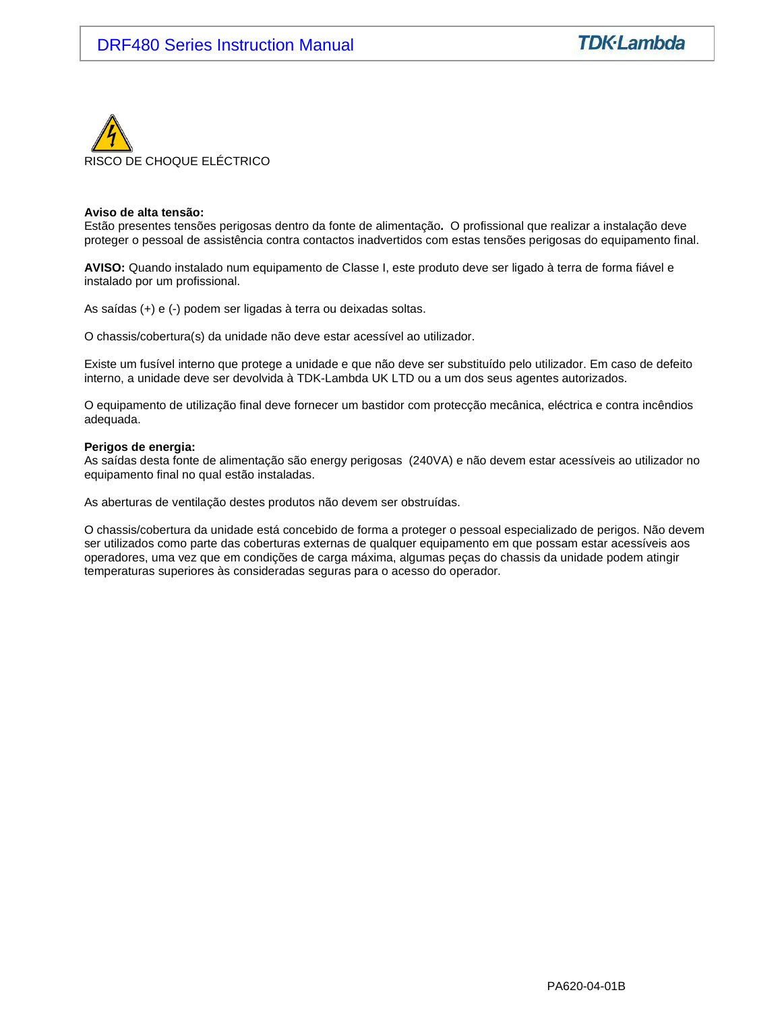

#### **Aviso de alta tensão:**

Estão presentes tensões perigosas dentro da fonte de alimentação**.** O profissional que realizar a instalação deve proteger o pessoal de assistência contra contactos inadvertidos com estas tensões perigosas do equipamento final.

**AVISO:** Quando instalado num equipamento de Classe I, este produto deve ser ligado à terra de forma fiável e instalado por um profissional.

As saídas (+) e (-) podem ser ligadas à terra ou deixadas soltas.

O chassis/cobertura(s) da unidade não deve estar acessível ao utilizador.

Existe um fusível interno que protege a unidade e que não deve ser substituído pelo utilizador. Em caso de defeito interno, a unidade deve ser devolvida à TDK-Lambda UK LTD ou a um dos seus agentes autorizados.

O equipamento de utilização final deve fornecer um bastidor com protecção mecânica, eléctrica e contra incêndios adequada.

#### **Perigos de energia:**

As saídas desta fonte de alimentação são energy perigosas (240VA) e não devem estar acessíveis ao utilizador no equipamento final no qual estão instaladas.

As aberturas de ventilação destes produtos não devem ser obstruídas.

O chassis/cobertura da unidade está concebido de forma a proteger o pessoal especializado de perigos. Não devem ser utilizados como parte das coberturas externas de qualquer equipamento em que possam estar acessíveis aos operadores, uma vez que em condições de carga máxima, algumas peças do chassis da unidade podem atingir temperaturas superiores às consideradas seguras para o acesso do operador.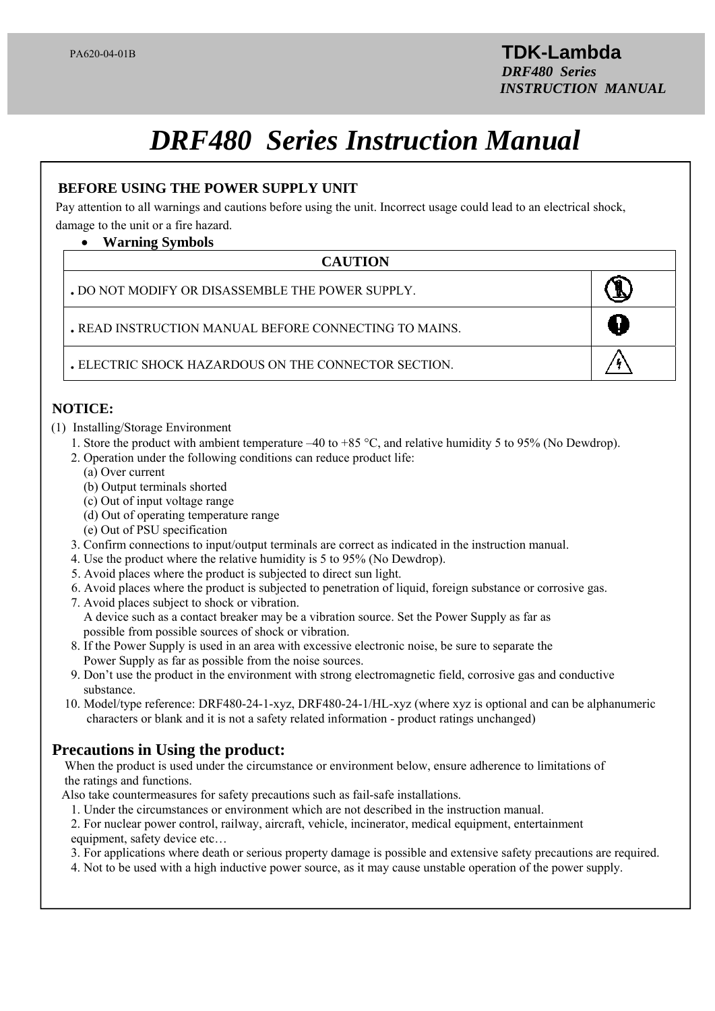# *DRF480 Series Instruction Manual*

# —<br>P( **BEFORE USING THE POWER SUPPLY UNIT**

Pay attention to all warnings and cautions before using the unit. Incorrect usage could lead to an electrical shock, damage to the unit or a fire hazard.

### **Warning Symbols**

# l **CAUTION**

| . DO NOT MODIFY OR DISASSEMBLE THE POWER SUPPLY.      |  |
|-------------------------------------------------------|--|
| . READ INSTRUCTION MANUAL BEFORE CONNECTING TO MAINS. |  |
| . ELECTRIC SHOCK HAZARDOUS ON THE CONNECTOR SECTION   |  |

Ξ

# **NOTICE:**

- (1) Installing/Storage Environment
	- 1. Store the product with ambient temperature –40 to +85 °C, and relative humidity 5 to 95% (No Dewdrop).
	- 2. Operation under the following conditions can reduce product life:
		- (a) Over current
		- (b) Output terminals shorted
		- (c) Out of input voltage range
		- (d) Out of operating temperature range
		- (e) Out of PSU specification
	- 3. Confirm connections to input/output terminals are correct as indicated in the instruction manual.
	- 4. Use the product where the relative humidity is 5 to 95% (No Dewdrop).
	- 5. Avoid places where the product is subjected to direct sun light.
	- 6. Avoid places where the product is subjected to penetration of liquid, foreign substance or corrosive gas.
	- 7. Avoid places subject to shock or vibration. A device such as a contact breaker may be a vibration source. Set the Power Supply as far as possible from possible sources of shock or vibration.
	- 8. If the Power Supply is used in an area with excessive electronic noise, be sure to separate the Power Supply as far as possible from the noise sources.
	- 9. Don't use the product in the environment with strong electromagnetic field, corrosive gas and conductive substance.
	- 10. Model/type reference: DRF480-24-1-xyz, DRF480-24-1/HL-xyz (where xyz is optional and can be alphanumeric characters or blank and it is not a safety related information - product ratings unchanged)

# **Precautions in Using the product:**

 When the product is used under the circumstance or environment below, ensure adherence to limitations of the ratings and functions.

- Also take countermeasures for safety precautions such as fail-safe installations.
	- 1. Under the circumstances or environment which are not described in the instruction manual.
	- 2. For nuclear power control, railway, aircraft, vehicle, incinerator, medical equipment, entertainment
	- equipment, safety device etc…

 $\overline{a}$ 

- 3. For applications where death or serious property damage is possible and extensive safety precautions are required.
- 4. Not to be used with a high inductive power source, as it may cause unstable operation of the power supply.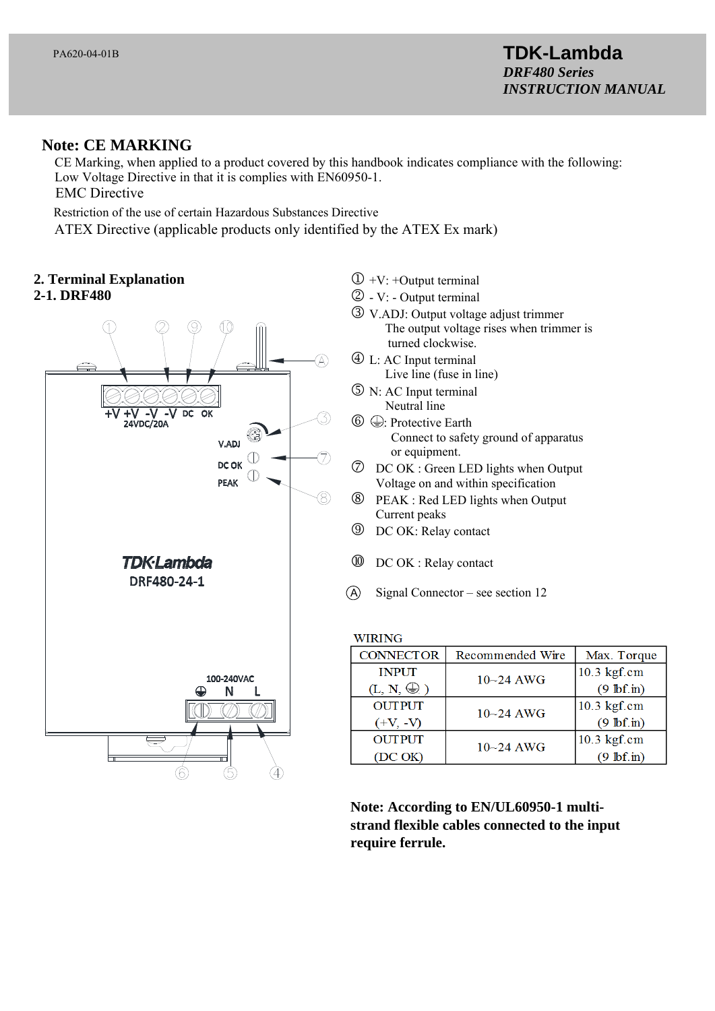# **Note: CE MARKING**

 CE Marking, when applied to a product covered by this handbook indicates compliance with the following: Low Voltage Directive in that it is complies with EN60950-1. EMC Directive

Restriction of the use of certain Hazardous Substances Directive

ATEX Directive (applicable products only identified by the ATEX Ex mark)

**2. Terminal Explanation** 

# **2-1. DRF480**



- $\Phi$  +V: +Output terminal
- $Q V$ : Output terminal
- V.ADJ: Output voltage adjust trimmer The output voltage rises when trimmer is turned clockwise.
- L: AC Input terminal Live line (fuse in line)
- N: AC Input terminal Neutral line
- $\circled{6}$ : Protective Earth Connect to safety ground of apparatus or equipment.
- DC OK : Green LED lights when Output Voltage on and within specification
- PEAK : Red LED lights when Output Current peaks
- DC OK: Relay contact
- **10** DC OK : Relay contact
- A Signal Connector see section 12

### **WIRING**

| <b>CONNECTOR</b>    | Recommended Wire | Max. Torque          |
|---------------------|------------------|----------------------|
| <b>INPUT</b>        | $10 - 24$ AWG    | $10.3$ kgf.cm        |
| $(L, N, \bigoplus)$ |                  | $(9 \text{ lbf.in})$ |
| <b>OUTPUT</b>       | $10 - 24$ AWG    | 10.3 kgf.cm          |
| $(+V, -V)$          |                  | $(9 \text{ lbf.in})$ |
| <b>OUTPUT</b>       | $10 - 24$ AWG    | 10.3 kgf.cm          |
| (DC OK)             |                  | $(9 \text{ lbf.in})$ |

**Note: According to EN/UL60950-1 multistrand flexible cables connected to the input require ferrule.**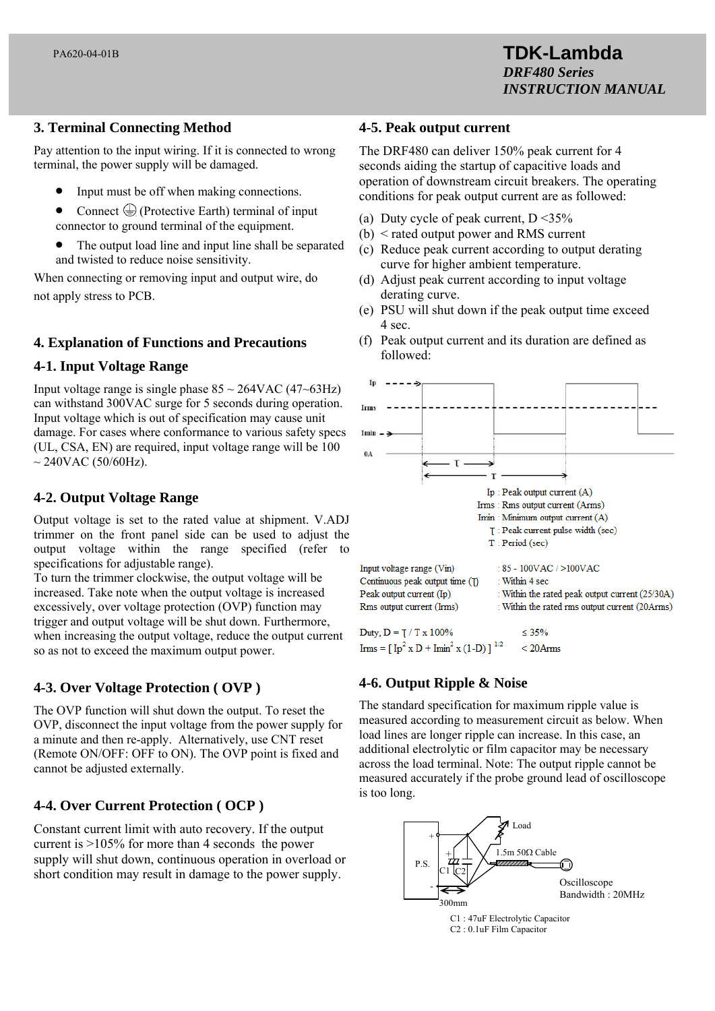# **3. Terminal Connecting Method**

Pay attention to the input wiring. If it is connected to wrong terminal, the power supply will be damaged.

- Input must be off when making connections.
- Connect  $\bigoplus$  (Protective Earth) terminal of input connector to ground terminal of the equipment.
- The output load line and input line shall be separated and twisted to reduce noise sensitivity.

When connecting or removing input and output wire, do not apply stress to PCB.

# **4. Explanation of Functions and Precautions**

# **4-1. Input Voltage Range**

Input voltage range is single phase  $85 \sim 264 \text{VAC} (47 \sim 63 \text{Hz})$ can withstand 300VAC surge for 5 seconds during operation. Input voltage which is out of specification may cause unit damage. For cases where conformance to various safety specs (UL, CSA, EN) are required, input voltage range will be 100  $\sim$  240VAC (50/60Hz).

# **4-2. Output Voltage Range**

Output voltage is set to the rated value at shipment. V.ADJ trimmer on the front panel side can be used to adjust the output voltage within the range specified (refer to specifications for adjustable range).

To turn the trimmer clockwise, the output voltage will be increased. Take note when the output voltage is increased excessively, over voltage protection (OVP) function may trigger and output voltage will be shut down. Furthermore, when increasing the output voltage, reduce the output current so as not to exceed the maximum output power.

# **4-3. Over Voltage Protection ( OVP )**

The OVP function will shut down the output. To reset the OVP, disconnect the input voltage from the power supply for a minute and then re-apply. Alternatively, use CNT reset (Remote ON/OFF: OFF to ON). The OVP point is fixed and cannot be adjusted externally.

# **4-4. Over Current Protection ( OCP )**

Constant current limit with auto recovery. If the output current is >105% for more than 4 seconds the power supply will shut down, continuous operation in overload or short condition may result in damage to the power supply.

### **4-5. Peak output current**

The DRF480 can deliver 150% peak current for 4 seconds aiding the startup of capacitive loads and operation of downstream circuit breakers. The operating conditions for peak output current are as followed:

- (a) Duty cycle of peak current,  $D < 35\%$
- (b) < rated output power and RMS current
- (c) Reduce peak current according to output derating curve for higher ambient temperature.
- (d) Adjust peak current according to input voltage derating curve.
- (e) PSU will shut down if the peak output time exceed 4 sec.
- (f) Peak output current and its duration are defined as followed:



# **4-6. Output Ripple & Noise**

The standard specification for maximum ripple value is measured according to measurement circuit as below. When load lines are longer ripple can increase. In this case, an additional electrolytic or film capacitor may be necessary across the load terminal. Note: The output ripple cannot be measured accurately if the probe ground lead of oscilloscope is too long.



C1 : 47uF Electrolytic Capacitor C2 : 0.1uF Film Capacitor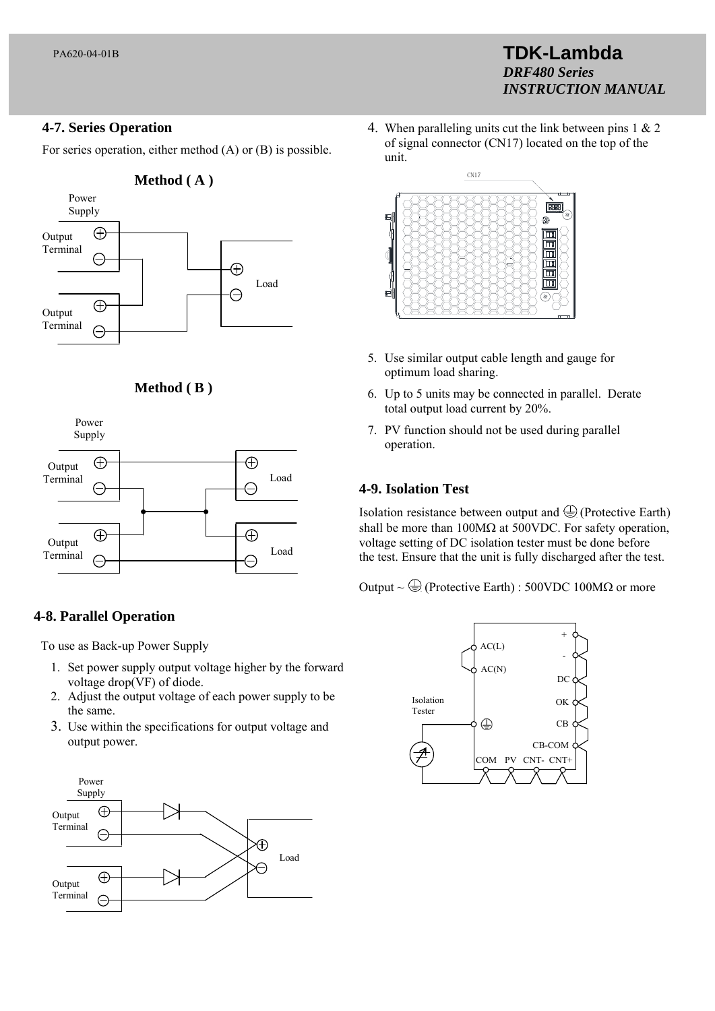# **4-7. Series Operation**

For series operation, either method (A) or (B) is possible.



# **Method ( B )**



# **4-8. Parallel Operation**

To use as Back-up Power Supply

- 1. Set power supply output voltage higher by the forward voltage drop(VF) of diode.
- 2. Adjust the output voltage of each power supply to be the same.
- 3. Use within the specifications for output voltage and output power.



4. When paralleling units cut the link between pins 1 & 2 of signal connector (CN17) located on the top of the unit.

**TDK-Lambda** 

*INSTRUCTION MANUAL*

*DRF480 Series*



- 5. Use similar output cable length and gauge for optimum load sharing.
- 6. Up to 5 units may be connected in parallel. Derate total output load current by 20%.
- 7. PV function should not be used during parallel operation.

### **4-9. Isolation Test**

Isolation resistance between output and  $\bigoplus$  (Protective Earth) shall be more than  $100M\Omega$  at 500VDC. For safety operation, voltage setting of DC isolation tester must be done before the test. Ensure that the unit is fully discharged after the test.

Output ~  $\bigoplus$  (Protective Earth) : 500VDC 100M $\Omega$  or more

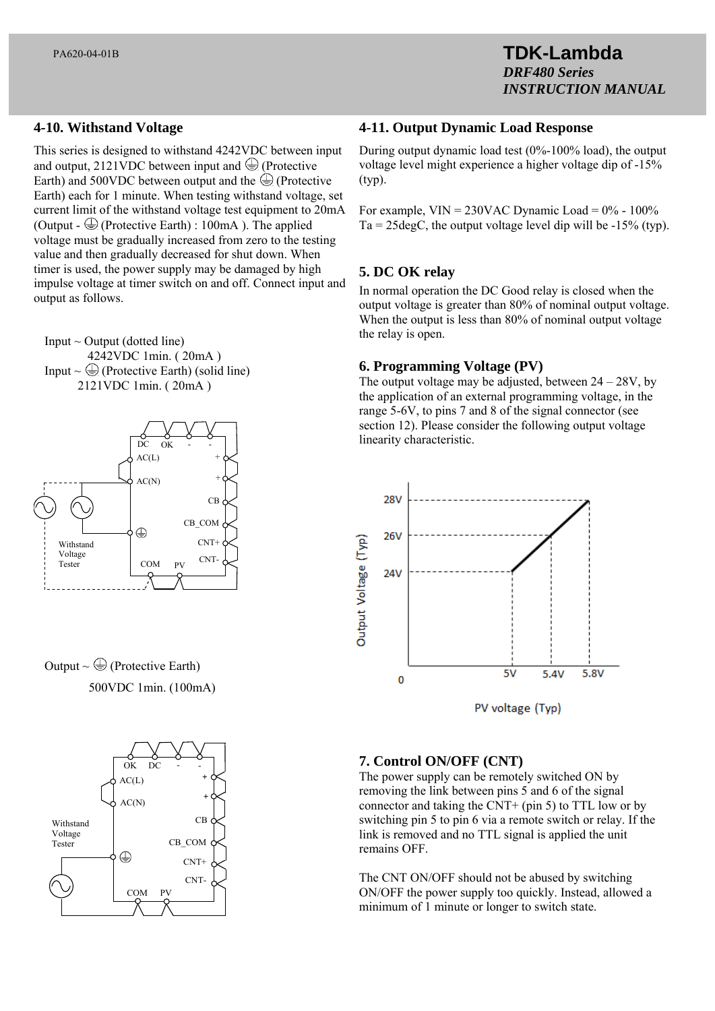# **4-10. Withstand Voltage**

This series is designed to withstand 4242VDC between input and output, 2121VDC between input and  $\bigoplus$  (Protective Earth) and 500VDC between output and the  $\bigoplus$  (Protective Earth) each for 1 minute. When testing withstand voltage, set current limit of the withstand voltage test equipment to 20mA (Output -  $\bigoplus$  (Protective Earth) : 100mA). The applied voltage must be gradually increased from zero to the testing value and then gradually decreased for shut down. When timer is used, the power supply may be damaged by high impulse voltage at timer switch on and off. Connect input and output as follows.





Output  $\sim \bigoplus$  (Protective Earth) 500VDC 1min. (100mA)



### **4-11. Output Dynamic Load Response**

During output dynamic load test (0%-100% load), the output voltage level might experience a higher voltage dip of -15% (typ).

For example,  $VIN = 230VAC$  Dynamic Load =  $0\%$  - 100%  $Ta = 25 \text{deg}C$ , the output voltage level dip will be  $-15\%$  (typ).

# **5. DC OK relay**

In normal operation the DC Good relay is closed when the output voltage is greater than 80% of nominal output voltage. When the output is less than 80% of nominal output voltage the relay is open.

# **6. Programming Voltage (PV)**

The output voltage may be adjusted, between  $24 - 28V$ , by the application of an external programming voltage, in the range 5-6V, to pins 7 and 8 of the signal connector (see section 12). Please consider the following output voltage linearity characteristic.



# **7. Control ON/OFF (CNT)**

The power supply can be remotely switched ON by removing the link between pins 5 and 6 of the signal connector and taking the CNT+ (pin 5) to TTL low or by switching pin 5 to pin 6 via a remote switch or relay. If the link is removed and no TTL signal is applied the unit remains OFF.

The CNT ON/OFF should not be abused by switching ON/OFF the power supply too quickly. Instead, allowed a minimum of 1 minute or longer to switch state.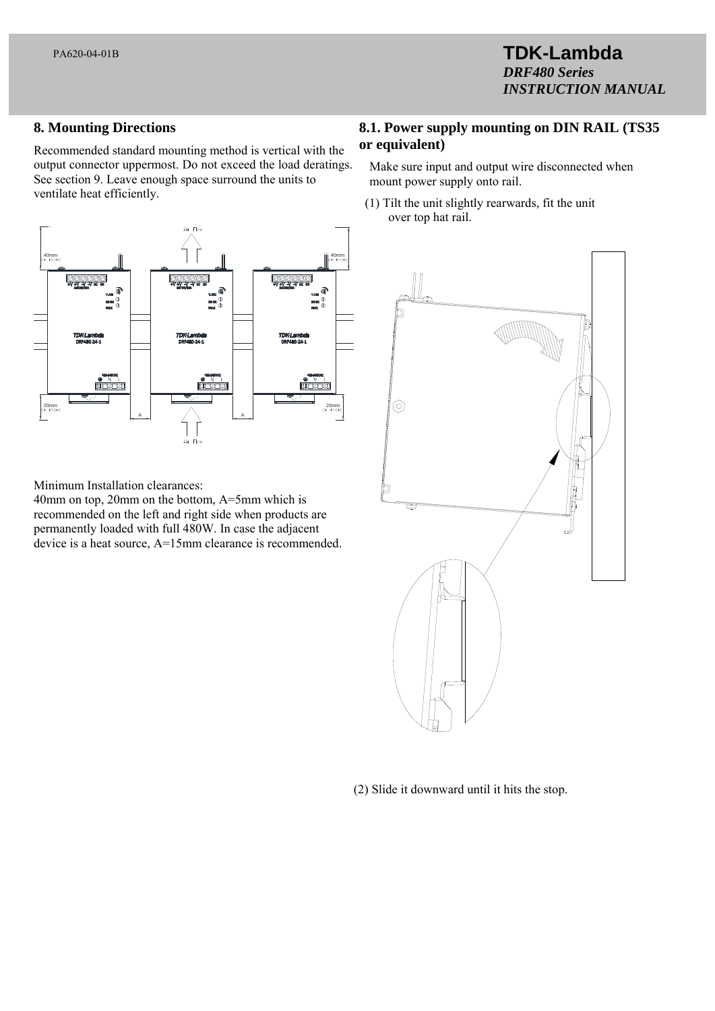# **8. Mounting Directions**

Recommended standard mounting method is vertical with the output connector uppermost. Do not exceed the load deratings. See section 9. Leave enough space surround the units to ventilate heat efficiently.



Minimum Installation clearances:

40mm on top, 20mm on the bottom, A=5mm which is recommended on the left and right side when products are permanently loaded with full 480W. In case the adjacent device is a heat source, A=15mm clearance is recommended.

# **8.1. Power supply mounting on DIN RAIL (TS35 or equivalent)**

Make sure input and output wire disconnected when mount power supply onto rail.

 (1) Tilt the unit slightly rearwards, fit the unit over top hat rail.



(2) Slide it downward until it hits the stop.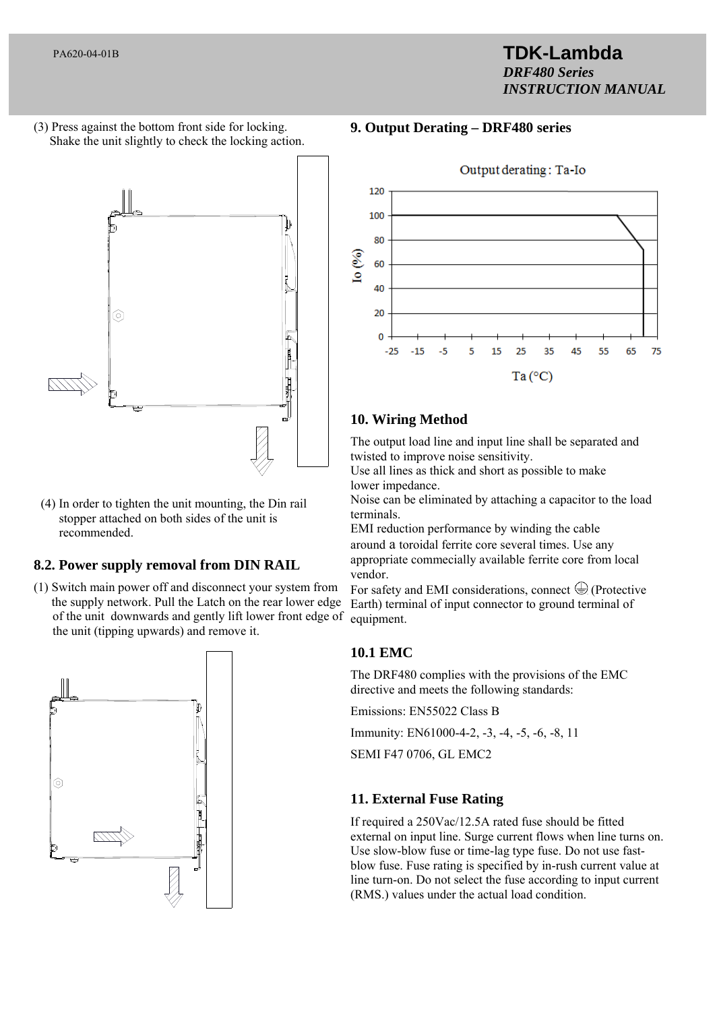# **TDK-Lambda**  *DRF480 Series INSTRUCTION MANUAL*

(3) Press against the bottom front side for locking. Shake the unit slightly to check the locking action.



 (4) In order to tighten the unit mounting, the Din rail stopper attached on both sides of the unit is recommended.

# **8.2. Power supply removal from DIN RAIL**

(1) Switch main power off and disconnect your system from the supply network. Pull the Latch on the rear lower edge of the unit downwards and gently lift lower front edge of the unit (tipping upwards) and remove it.



# **9. Output Derating – DRF480 series**



# **10. Wiring Method**

The output load line and input line shall be separated and twisted to improve noise sensitivity.

Use all lines as thick and short as possible to make lower impedance.

Noise can be eliminated by attaching a capacitor to the load terminals.

EMI reduction performance by winding the cable around a toroidal ferrite core several times. Use any appropriate commecially available ferrite core from local vendor.

For safety and EMI considerations, connect  $\bigoplus$  (Protective Earth) terminal of input connector to ground terminal of equipment.

# **10.1 EMC**

The DRF480 complies with the provisions of the EMC directive and meets the following standards:

Emissions: EN55022 Class B

Immunity: EN61000-4-2, -3, -4, -5, -6, -8, 11

SEMI F47 0706, GL EMC2

# **11. External Fuse Rating**

If required a 250Vac/12.5A rated fuse should be fitted external on input line. Surge current flows when line turns on. Use slow-blow fuse or time-lag type fuse. Do not use fastblow fuse. Fuse rating is specified by in-rush current value at line turn-on. Do not select the fuse according to input current (RMS.) values under the actual load condition.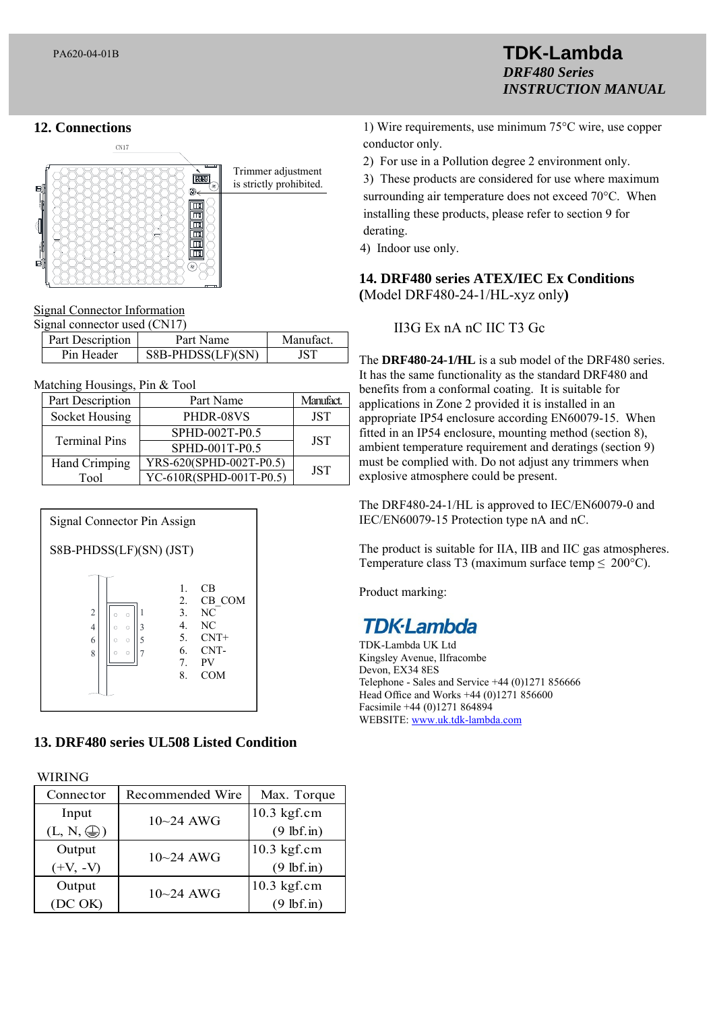# **12. Connections**



### Connector Information

| Signal connector used (CN17) |                  |                   |          |  |
|------------------------------|------------------|-------------------|----------|--|
|                              | Part Description | Part Name         | Manufact |  |
|                              | Pin Header       | S8B-PHDSS(LF)(SN) | JST      |  |

#### Matching Housings, Pin & Tool

| Part Description     | Part Name               | Manufact.  |
|----------------------|-------------------------|------------|
| Socket Housing       | PHDR-08VS               | <b>JST</b> |
| <b>Terminal Pins</b> | SPHD-002T-P0.5          | <b>JST</b> |
|                      | SPHD-001T-P0.5          |            |
| Hand Crimping        | YRS-620(SPHD-002T-P0.5) | <b>JST</b> |
| Tool                 | YC-610R(SPHD-001T-P0.5) |            |



# **13. DRF480 series UL508 Listed Condition**

WIRING

| Connector           | Recommended Wire | Max. Torque          |
|---------------------|------------------|----------------------|
| Input               | $10 - 24$ AWG    | $10.3$ kgf.cm        |
| $(L, N, \bigoplus)$ |                  | $(9 \text{ lbf.in})$ |
| Output              | $10 - 24$ AWG    | $10.3$ kgf.cm        |
| $(+V, -V)$          |                  | $(9 \text{ lbf.in})$ |
| Output              | $10 - 24$ AWG    | $10.3$ kgf.cm        |
| (DC OK)             |                  | $(9 \text{ lbf.in})$ |

1) Wire requirements, use minimum 75°C wire, use copper conductor only.

**TDK-Lambda** 

*INSTRUCTION MANUAL*

*DRF480 Series*

2) For use in a Pollution degree 2 environment only.

3) These products are considered for use where maximum surrounding air temperature does not exceed 70°C. When installing these products, please refer to section 9 for derating.

4) Indoor use only.

**14. DRF480 series ATEX/IEC Ex Conditions (**Model DRF480-24-1/HL-xyz only**)** 

# II3G Ex nA nC IIC T3 Gc

The **DRF480-24-1/HL** is a sub model of the DRF480 series. It has the same functionality as the standard DRF480 and benefits from a conformal coating. It is suitable for applications in Zone 2 provided it is installed in an appropriate IP54 enclosure according EN60079-15. When fitted in an IP54 enclosure, mounting method (section 8), ambient temperature requirement and deratings (section 9) must be complied with. Do not adjust any trimmers when explosive atmosphere could be present.

The DRF480-24-1/HL is approved to IEC/EN60079-0 and IEC/EN60079-15 Protection type nA and nC.

The product is suitable for IIA, IIB and IIC gas atmospheres. Temperature class T3 (maximum surface temp  $\leq 200^{\circ}$ C).

Product marking:

# **TDK-Lambda**

TDK-Lambda UK Ltd Kingsley Avenue, Ilfracombe Devon, EX34 8ES Telephone - Sales and Service +44 (0)1271 856666 Head Office and Works +44 (0)1271 856600 Facsimile +44 (0)1271 864894 WEBSITE: www.uk.tdk-lambda.com